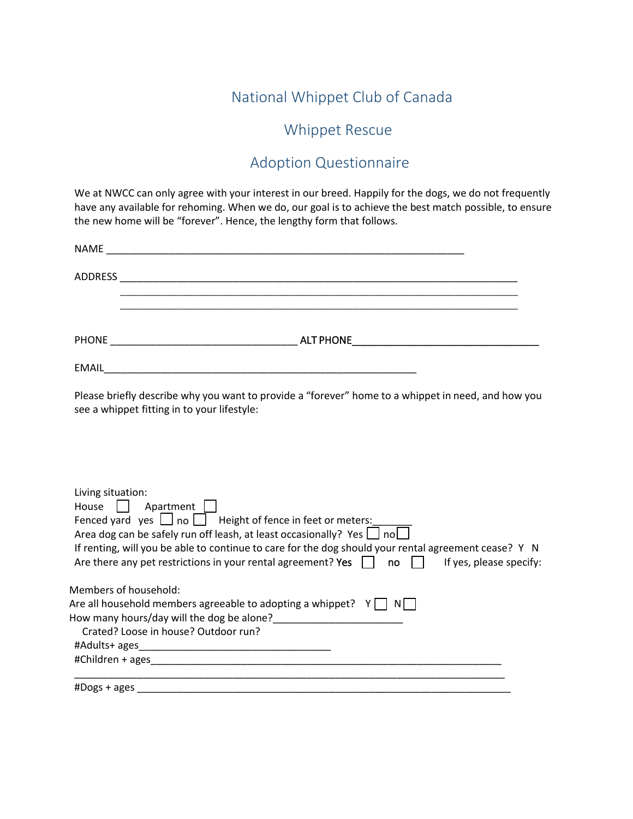## National Whippet Club of Canada

## Whippet Rescue

## Adoption Questionnaire

We at NWCC can only agree with your interest in our breed. Happily for the dogs, we do not frequently have any available for rehoming. When we do, our goal is to achieve the best match possible, to ensure the new home will be "forever". Hence, the lengthy form that follows.

|                   | Please briefly describe why you want to provide a "forever" home to a whippet in need, and how you<br>see a whippet fitting in to your lifestyle:                                                                                                                                                                                                                                          |
|-------------------|--------------------------------------------------------------------------------------------------------------------------------------------------------------------------------------------------------------------------------------------------------------------------------------------------------------------------------------------------------------------------------------------|
|                   |                                                                                                                                                                                                                                                                                                                                                                                            |
| Living situation: | House Apartment  <br>Fenced yard yes $\Box$ no $\Box$ Height of fence in feet or meters:<br>Area dog can be safely run off leash, at least occasionally? Yes $\Box$ no<br>If renting, will you be able to continue to care for the dog should your rental agreement cease? Y N<br>Are there any pet restrictions in your rental agreement? Yes $\Box$ no $\Box$<br>If yes, please specify: |
|                   | Members of household:<br>Are all household members agreeable to adopting a whippet? $\begin{array}{cc} Y \cap N \end{array}$<br>Crated? Loose in house? Outdoor run?                                                                                                                                                                                                                       |
|                   |                                                                                                                                                                                                                                                                                                                                                                                            |
|                   | #Dogs + ages                                                                                                                                                                                                                                                                                                                                                                               |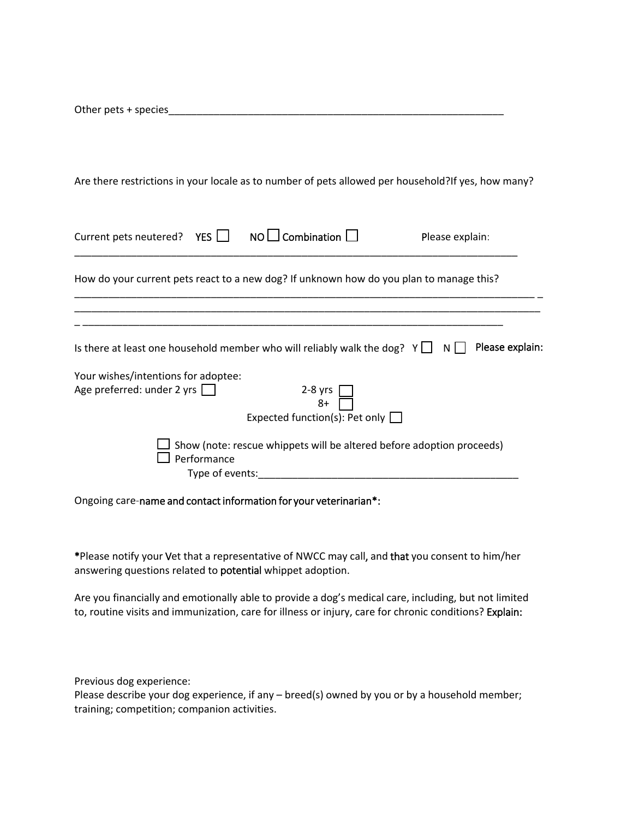\_\_\_\_\_\_\_\_\_\_\_\_\_\_\_\_\_\_\_\_\_\_\_\_\_\_\_\_\_\_\_\_\_\_\_\_\_\_\_\_\_\_\_\_\_\_\_\_\_\_\_\_\_\_\_\_\_\_\_ Other pets + species

Are there restrictions in your locale as to number of pets allowed per household?If yes, how many?

| Current pets neutered? YES NO∐ Combination                        |                                |                                                                                         | Please explain:        |  |
|-------------------------------------------------------------------|--------------------------------|-----------------------------------------------------------------------------------------|------------------------|--|
|                                                                   |                                | How do your current pets react to a new dog? If unknown how do you plan to manage this? |                        |  |
|                                                                   |                                | Is there at least one household member who will reliably walk the dog? $Y \Box$         | Please explain:<br>$N$ |  |
| Your wishes/intentions for adoptee:<br>Age preferred: under 2 yrs |                                | $2-8$ yrs<br>$8+$                                                                       |                        |  |
|                                                                   |                                | Expected function(s): Pet only $\Box$                                                   |                        |  |
|                                                                   | Performance<br>Type of events: | Show (note: rescue whippets will be altered before adoption proceeds)                   |                        |  |

Ongoing care-name and contact information for your veterinarian\*:

\*Please notify your Vet that a representative of NWCC may call, and that you consent to him/her answering questions related to potential whippet adoption.

Are you financially and emotionally able to provide a dog's medical care, including, but not limited to, routine visits and immunization, care for illness or injury, care for chronic conditions? Explain:

Previous dog experience:

Please describe your dog experience, if any – breed(s) owned by you or by a household member; training; competition; companion activities.